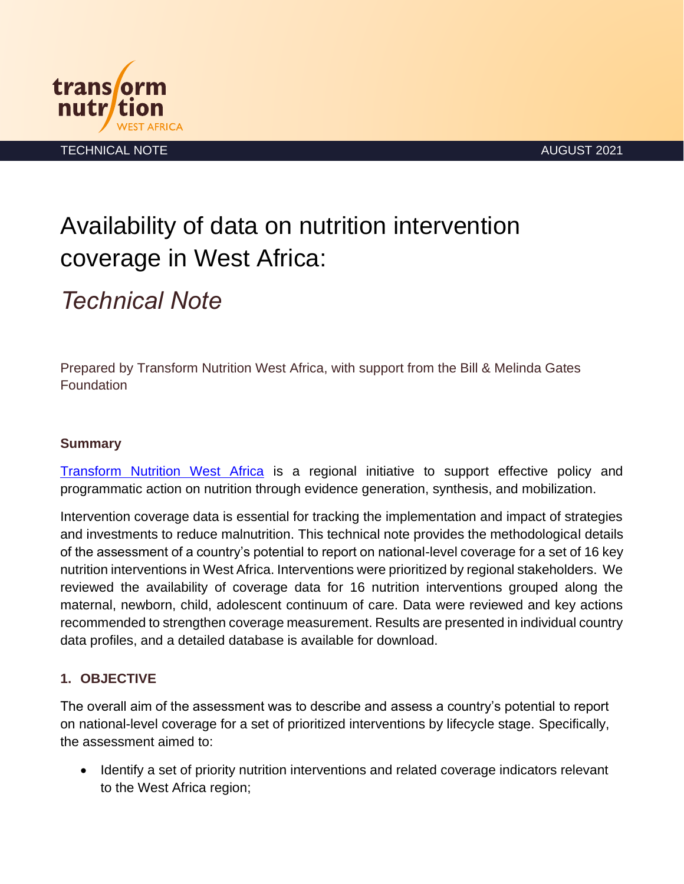



TECHNICAL NOTE AUGUST 2021

# Availability of data on nutrition intervention coverage in West Africa:

# *Technical Note*

Prepared by Transform Nutrition West Africa, with support from the Bill & Melinda Gates **Foundation** 

#### **Summary**

[Transform Nutrition West Africa](https://westafrica.transformnutrition.org/) is a regional initiative to support effective policy and programmatic action on nutrition through evidence generation, synthesis, and mobilization.

Intervention coverage data is essential for tracking the implementation and impact of strategies and investments to reduce malnutrition. This technical note provides the methodological details of the assessment of a country's potential to report on national-level coverage for a set of 16 key nutrition interventions in West Africa. Interventions were prioritized by regional stakeholders. We reviewed the availability of coverage data for 16 nutrition interventions grouped along the maternal, newborn, child, adolescent continuum of care. Data were reviewed and key actions recommended to strengthen coverage measurement. Results are presented in individual country data profiles, and a detailed database is available for download.

#### **1. OBJECTIVE**

The overall aim of the assessment was to describe and assess a country's potential to report on national-level coverage for a set of prioritized interventions by lifecycle stage. Specifically, the assessment aimed to:

• Identify a set of priority nutrition interventions and related coverage indicators relevant to the West Africa region;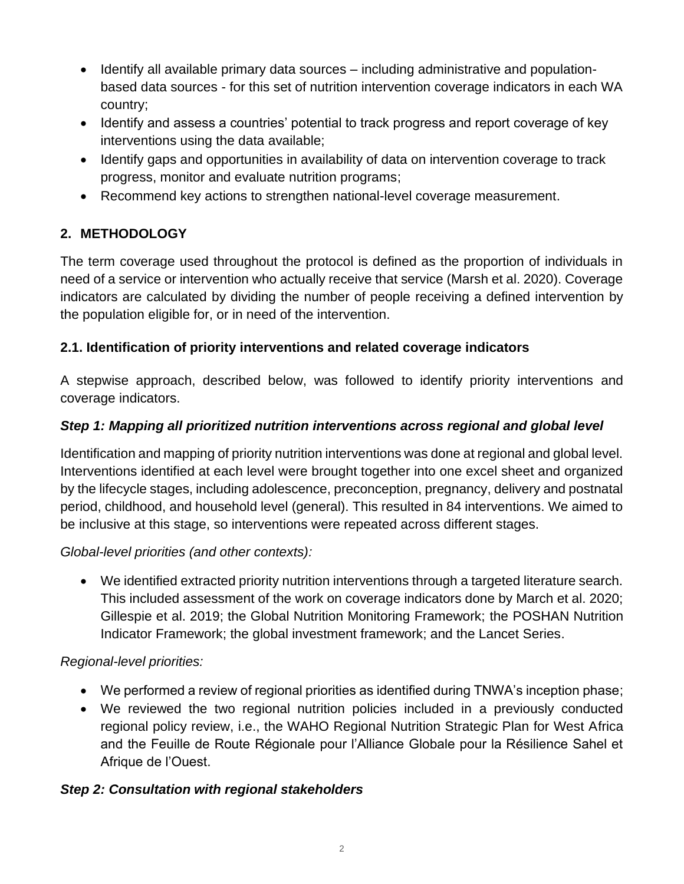- Identify all available primary data sources including administrative and populationbased data sources - for this set of nutrition intervention coverage indicators in each WA country;
- Identify and assess a countries' potential to track progress and report coverage of key interventions using the data available;
- Identify gaps and opportunities in availability of data on intervention coverage to track progress, monitor and evaluate nutrition programs;
- Recommend key actions to strengthen national-level coverage measurement.

# **2. METHODOLOGY**

The term coverage used throughout the protocol is defined as the proportion of individuals in need of a service or intervention who actually receive that service (Marsh et al. 2020). Coverage indicators are calculated by dividing the number of people receiving a defined intervention by the population eligible for, or in need of the intervention.

## **2.1. Identification of priority interventions and related coverage indicators**

A stepwise approach, described below, was followed to identify priority interventions and coverage indicators.

## *Step 1: Mapping all prioritized nutrition interventions across regional and global level*

Identification and mapping of priority nutrition interventions was done at regional and global level. Interventions identified at each level were brought together into one excel sheet and organized by the lifecycle stages, including adolescence, preconception, pregnancy, delivery and postnatal period, childhood, and household level (general). This resulted in 84 interventions. We aimed to be inclusive at this stage, so interventions were repeated across different stages.

### *Global-level priorities (and other contexts):*

• We identified extracted priority nutrition interventions through a targeted literature search. This included assessment of the work on coverage indicators done by March et al. 2020; Gillespie et al. 2019; the Global Nutrition Monitoring Framework; the POSHAN Nutrition Indicator Framework; the global investment framework; and the Lancet Series.

### *Regional-level priorities:*

- We performed a review of regional priorities as identified during TNWA's inception phase;
- We reviewed the two regional nutrition policies included in a previously conducted regional policy review, i.e., the WAHO Regional Nutrition Strategic Plan for West Africa and the Feuille de Route Régionale pour l'Alliance Globale pour la Résilience Sahel et Afrique de l'Ouest.

### *Step 2: Consultation with regional stakeholders*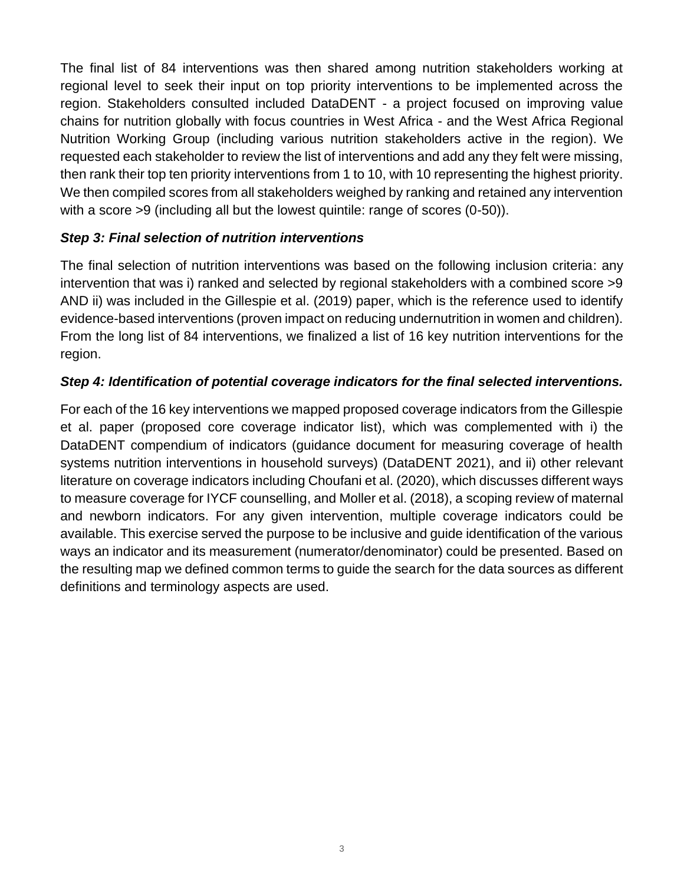The final list of 84 interventions was then shared among nutrition stakeholders working at regional level to seek their input on top priority interventions to be implemented across the region. Stakeholders consulted included DataDENT - a project focused on improving value chains for nutrition globally with focus countries in West Africa - and the West Africa Regional Nutrition Working Group (including various nutrition stakeholders active in the region). We requested each stakeholder to review the list of interventions and add any they felt were missing, then rank their top ten priority interventions from 1 to 10, with 10 representing the highest priority. We then compiled scores from all stakeholders weighed by ranking and retained any intervention with a score >9 (including all but the lowest quintile: range of scores (0-50)).

#### *Step 3: Final selection of nutrition interventions*

The final selection of nutrition interventions was based on the following inclusion criteria: any intervention that was i) ranked and selected by regional stakeholders with a combined score >9 AND ii) was included in the Gillespie et al. (2019) paper, which is the reference used to identify evidence-based interventions (proven impact on reducing undernutrition in women and children). From the long list of 84 interventions, we finalized a list of 16 key nutrition interventions for the region.

#### *Step 4: Identification of potential coverage indicators for the final selected interventions.*

For each of the 16 key interventions we mapped proposed coverage indicators from the Gillespie et al. paper (proposed core coverage indicator list), which was complemented with i) the DataDENT compendium of indicators (guidance document for measuring coverage of health systems nutrition interventions in household surveys) (DataDENT 2021), and ii) other relevant literature on coverage indicators including Choufani et al. (2020), which discusses different ways to measure coverage for IYCF counselling, and Moller et al. (2018), a scoping review of maternal and newborn indicators. For any given intervention, multiple coverage indicators could be available. This exercise served the purpose to be inclusive and guide identification of the various ways an indicator and its measurement (numerator/denominator) could be presented. Based on the resulting map we defined common terms to guide the search for the data sources as different definitions and terminology aspects are used.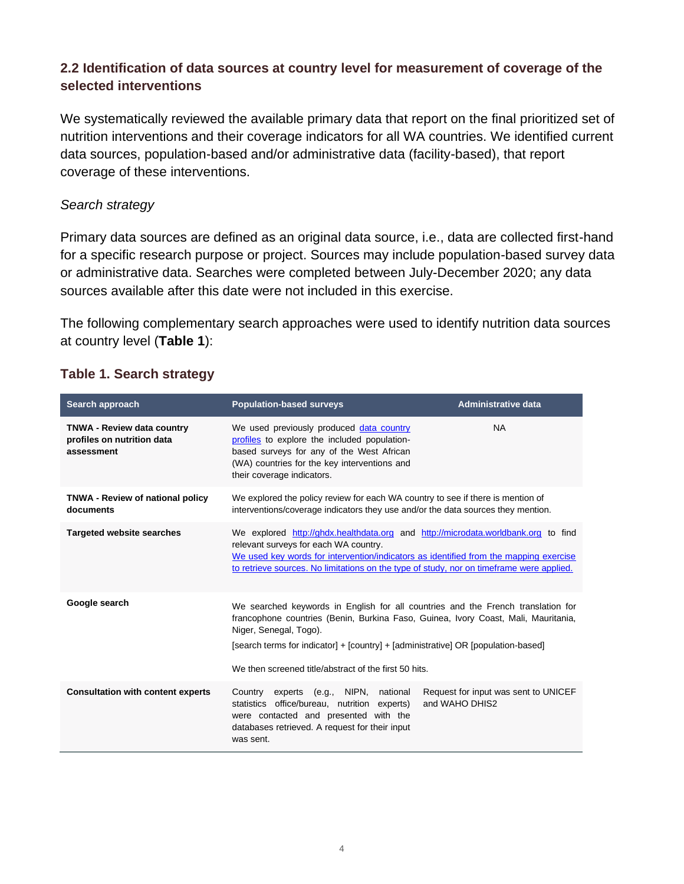#### **2.2 Identification of data sources at country level for measurement of coverage of the selected interventions**

We systematically reviewed the available primary data that report on the final prioritized set of nutrition interventions and their coverage indicators for all WA countries. We identified current data sources, population-based and/or administrative data (facility-based), that report coverage of these interventions.

#### *Search strategy*

Primary data sources are defined as an original data source, i.e., data are collected first-hand for a specific research purpose or project. Sources may include population-based survey data or administrative data. Searches were completed between July-December 2020; any data sources available after this date were not included in this exercise.

The following complementary search approaches were used to identify nutrition data sources at country level (**Table 1**):

| Search approach                                                               | <b>Population-based surveys</b>                                                                                                                                                                                                                                                                                                                | <b>Administrative data</b>                             |
|-------------------------------------------------------------------------------|------------------------------------------------------------------------------------------------------------------------------------------------------------------------------------------------------------------------------------------------------------------------------------------------------------------------------------------------|--------------------------------------------------------|
| <b>TNWA - Review data country</b><br>profiles on nutrition data<br>assessment | We used previously produced data country<br>profiles to explore the included population-<br>based surveys for any of the West African<br>(WA) countries for the key interventions and<br>their coverage indicators.                                                                                                                            | <b>NA</b>                                              |
| <b>TNWA - Review of national policy</b><br>documents                          | We explored the policy review for each WA country to see if there is mention of<br>interventions/coverage indicators they use and/or the data sources they mention.                                                                                                                                                                            |                                                        |
| <b>Targeted website searches</b>                                              | We explored http://ghdx.healthdata.org and http://microdata.worldbank.org to find<br>relevant surveys for each WA country.<br>We used key words for intervention/indicators as identified from the mapping exercise<br>to retrieve sources. No limitations on the type of study, nor on timeframe were applied.                                |                                                        |
| Google search                                                                 | We searched keywords in English for all countries and the French translation for<br>francophone countries (Benin, Burkina Faso, Guinea, Ivory Coast, Mali, Mauritania,<br>Niger, Senegal, Togo).<br>[search terms for indicator] + [country] + [administrative] OR [population-based]<br>We then screened title/abstract of the first 50 hits. |                                                        |
| <b>Consultation with content experts</b>                                      | Country experts (e.g., NIPN, national<br>statistics office/bureau, nutrition experts)<br>were contacted and presented with the<br>databases retrieved. A request for their input<br>was sent.                                                                                                                                                  | Request for input was sent to UNICEF<br>and WAHO DHIS2 |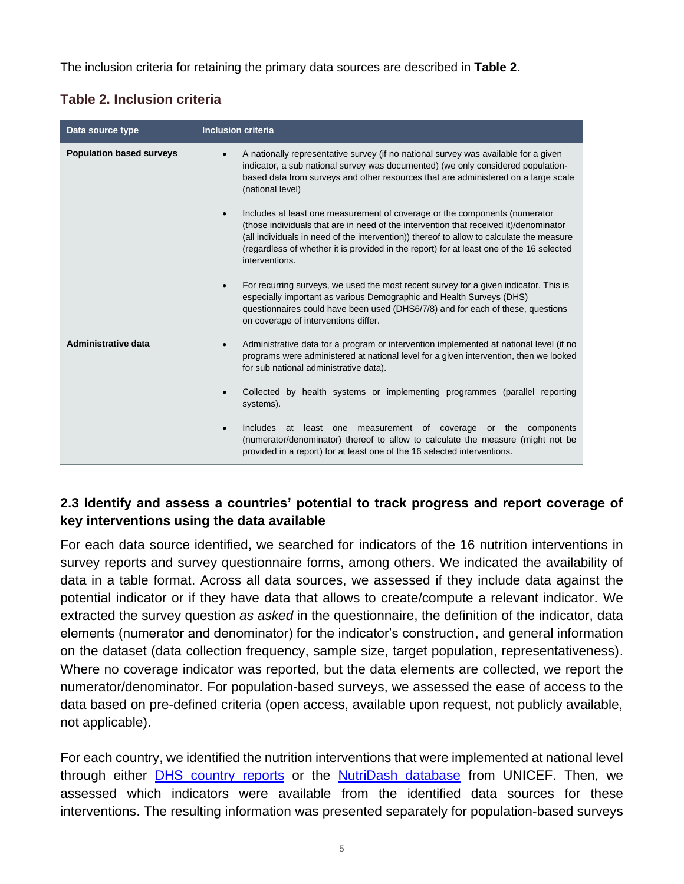The inclusion criteria for retaining the primary data sources are described in **Table 2**.

| Data source type                | <b>Inclusion criteria</b>                                                                                                                                                                                                                                                                                                                                                                  |  |
|---------------------------------|--------------------------------------------------------------------------------------------------------------------------------------------------------------------------------------------------------------------------------------------------------------------------------------------------------------------------------------------------------------------------------------------|--|
| <b>Population based surveys</b> | A nationally representative survey (if no national survey was available for a given<br>indicator, a sub national survey was documented) (we only considered population-<br>based data from surveys and other resources that are administered on a large scale<br>(national level)                                                                                                          |  |
|                                 | Includes at least one measurement of coverage or the components (numerator<br>$\bullet$<br>(those individuals that are in need of the intervention that received it)/denominator<br>(all individuals in need of the intervention)) thereof to allow to calculate the measure<br>(regardless of whether it is provided in the report) for at least one of the 16 selected<br>interventions. |  |
|                                 | For recurring surveys, we used the most recent survey for a given indicator. This is<br>$\bullet$<br>especially important as various Demographic and Health Surveys (DHS)<br>questionnaires could have been used (DHS6/7/8) and for each of these, questions<br>on coverage of interventions differ.                                                                                       |  |
| <b>Administrative data</b>      | Administrative data for a program or intervention implemented at national level (if no<br>programs were administered at national level for a given intervention, then we looked<br>for sub national administrative data).                                                                                                                                                                  |  |
|                                 | Collected by health systems or implementing programmes (parallel reporting<br>systems).                                                                                                                                                                                                                                                                                                    |  |
|                                 | <b>Includes</b><br>at least one<br>measurement of coverage<br>components<br>or the<br>$\bullet$<br>(numerator/denominator) thereof to allow to calculate the measure (might not be<br>provided in a report) for at least one of the 16 selected interventions.                                                                                                                             |  |

#### **2.3 Identify and assess a countries' potential to track progress and report coverage of key interventions using the data available**

For each data source identified, we searched for indicators of the 16 nutrition interventions in survey reports and survey questionnaire forms, among others. We indicated the availability of data in a table format. Across all data sources, we assessed if they include data against the potential indicator or if they have data that allows to create/compute a relevant indicator. We extracted the survey question *as asked* in the questionnaire, the definition of the indicator, data elements (numerator and denominator) for the indicator's construction, and general information on the dataset (data collection frequency, sample size, target population, representativeness). Where no coverage indicator was reported, but the data elements are collected, we report the numerator/denominator. For population-based surveys, we assessed the ease of access to the data based on pre-defined criteria (open access, available upon request, not publicly available, not applicable).

For each country, we identified the nutrition interventions that were implemented at national level through either DHS [country](https://dhsprogram.com/search/index.cfm?bydoctype=publication&bypubtype=5) reports or the [NutriDash database](https://www.unicefnutridash.org/login) from UNICEF. Then, we assessed which indicators were available from the identified data sources for these interventions. The resulting information was presented separately for population-based surveys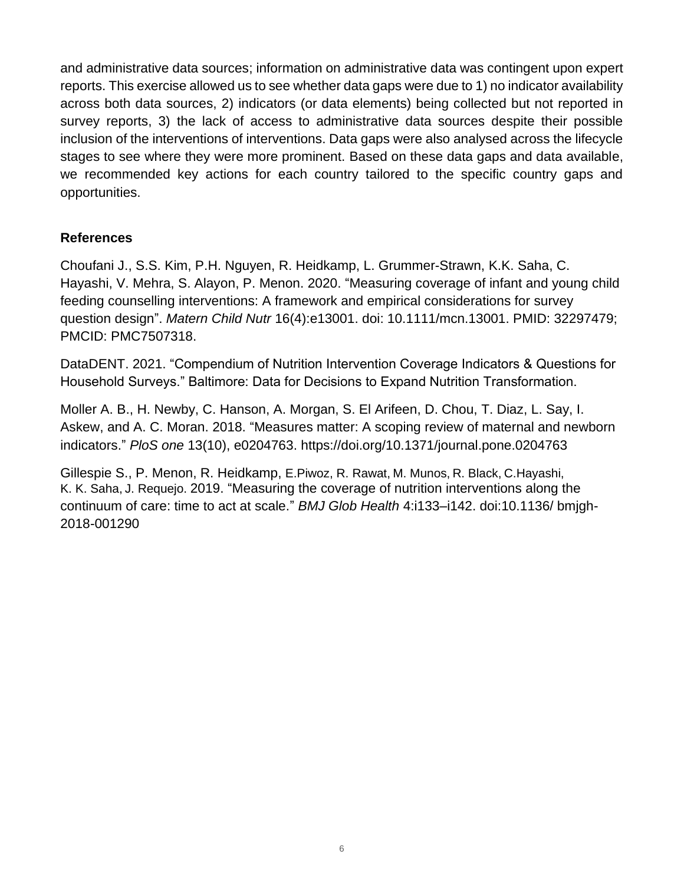and administrative data sources; information on administrative data was contingent upon expert reports. This exercise allowed us to see whether data gaps were due to 1) no indicator availability across both data sources, 2) indicators (or data elements) being collected but not reported in survey reports, 3) the lack of access to administrative data sources despite their possible inclusion of the interventions of interventions. Data gaps were also analysed across the lifecycle stages to see where they were more prominent. Based on these data gaps and data available, we recommended key actions for each country tailored to the specific country gaps and opportunities.

#### **References**

Choufani J., S.S. Kim, P.H. Nguyen, R. Heidkamp, L. Grummer-Strawn, K.K. Saha, C. Hayashi, V. Mehra, S. Alayon, P. Menon. 2020. "Measuring coverage of infant and young child feeding counselling interventions: A framework and empirical considerations for survey question design". *Matern Child Nutr* 16(4):e13001. doi: 10.1111/mcn.13001. PMID: 32297479; PMCID: PMC7507318.

DataDENT. 2021. "Compendium of Nutrition Intervention Coverage Indicators & Questions for Household Surveys." Baltimore: Data for Decisions to Expand Nutrition Transformation.

Moller A. B., H. Newby, C. Hanson, A. Morgan, S. El Arifeen, D. Chou, T. Diaz, L. Say, I. Askew, and A. C. Moran. 2018. "Measures matter: A scoping review of maternal and newborn indicators." *PloS one* 13(10), e0204763. https://doi.org/10.1371/journal.pone.0204763

Gillespie S., P. Menon, R. Heidkamp, E.Piwoz, R. Rawat, M. Munos, R. Black, C.Hayashi, K. K. Saha, J. Requejo. 2019. "Measuring the coverage of nutrition interventions along the continuum of care: time to act at scale." *BMJ Glob Health* 4:i133–i142. doi:10.1136/ bmjgh-2018-001290